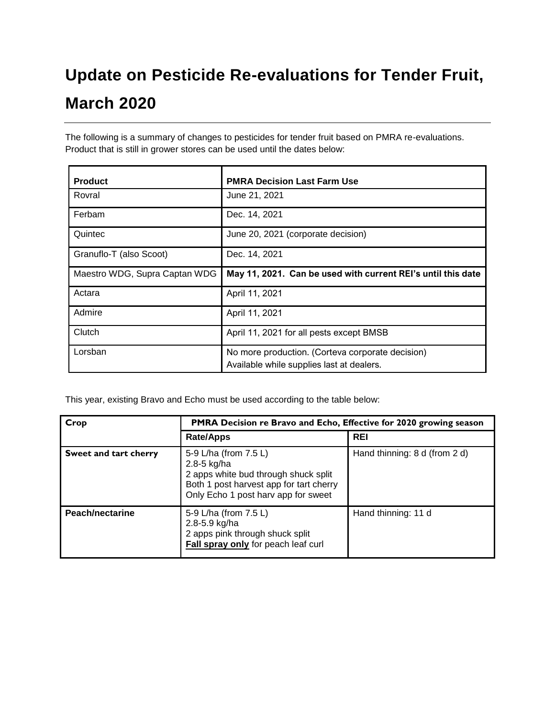## **Update on Pesticide Re-evaluations for Tender Fruit, March 2020**

The following is a summary of changes to pesticides for tender fruit based on PMRA re-evaluations. Product that is still in grower stores can be used until the dates below:

| <b>Product</b>                | <b>PMRA Decision Last Farm Use</b>                                                            |
|-------------------------------|-----------------------------------------------------------------------------------------------|
| Rovral                        | June 21, 2021                                                                                 |
| Ferbam                        | Dec. 14, 2021                                                                                 |
| Quintec                       | June 20, 2021 (corporate decision)                                                            |
| Granuflo-T (also Scoot)       | Dec. 14, 2021                                                                                 |
| Maestro WDG, Supra Captan WDG | May 11, 2021. Can be used with current REI's until this date                                  |
| Actara                        | April 11, 2021                                                                                |
| Admire                        | April 11, 2021                                                                                |
| Clutch                        | April 11, 2021 for all pests except BMSB                                                      |
| Lorsban                       | No more production. (Corteva corporate decision)<br>Available while supplies last at dealers. |

This year, existing Bravo and Echo must be used according to the table below:

| Crop                  |                                                                                                                                                                | PMRA Decision re Bravo and Echo, Effective for 2020 growing season |  |
|-----------------------|----------------------------------------------------------------------------------------------------------------------------------------------------------------|--------------------------------------------------------------------|--|
|                       | <b>Rate/Apps</b>                                                                                                                                               | <b>REI</b>                                                         |  |
| Sweet and tart cherry | 5-9 L/ha (from 7.5 L)<br>2.8-5 kg/ha<br>2 apps white bud through shuck split<br>Both 1 post harvest app for tart cherry<br>Only Echo 1 post harv app for sweet | Hand thinning: 8 d (from 2 d)                                      |  |
| Peach/nectarine       | 5-9 L/ha (from 7.5 L)<br>2.8-5.9 kg/ha<br>2 apps pink through shuck split<br>Fall spray only for peach leaf curl                                               | Hand thinning: 11 d                                                |  |